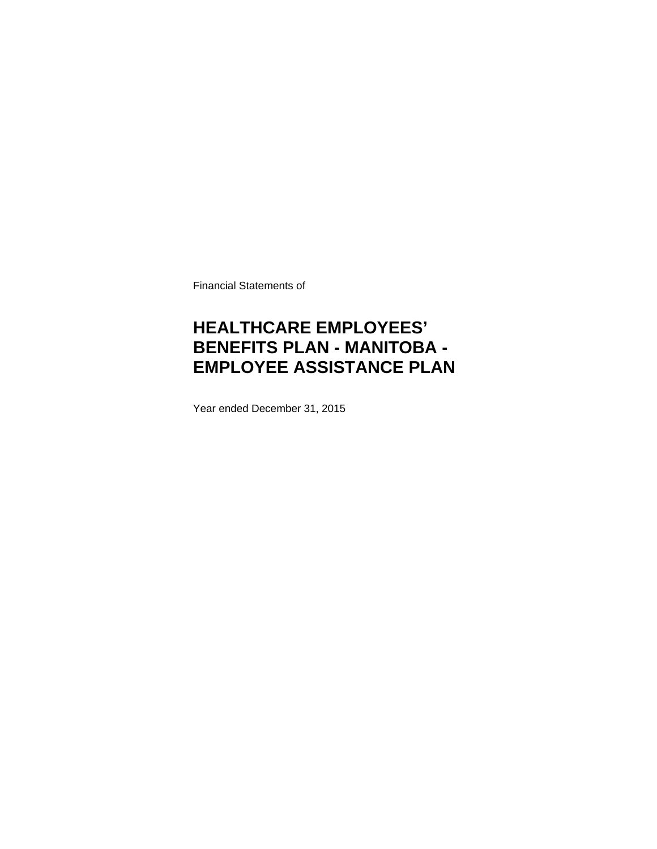Financial Statements of

## **HEALTHCARE EMPLOYEES' BENEFITS PLAN - MANITOBA - EMPLOYEE ASSISTANCE PLAN**

Year ended December 31, 2015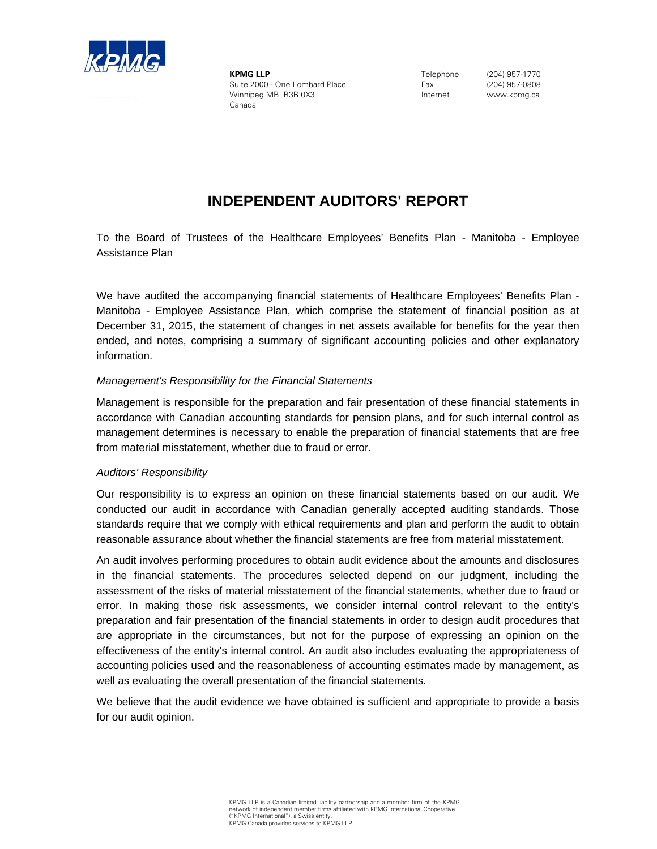

**KPMG LLP** Suite 2000 - One Lombard Place Winnipeg MB R3B 0X3 Canada

Telephone Fax Internet

(204) 957-1770 (204) 957-0808 www.kpmg.ca

### **INDEPENDENT AUDITORS' REPORT**

To the Board of Trustees of the Healthcare Employees' Benefits Plan - Manitoba - Employee Assistance Plan

We have audited the accompanying financial statements of Healthcare Employees' Benefits Plan - Manitoba - Employee Assistance Plan, which comprise the statement of financial position as at December 31, 2015, the statement of changes in net assets available for benefits for the year then ended, and notes, comprising a summary of significant accounting policies and other explanatory information.

### *Management's Responsibility for the Financial Statements*

Management is responsible for the preparation and fair presentation of these financial statements in accordance with Canadian accounting standards for pension plans, and for such internal control as management determines is necessary to enable the preparation of financial statements that are free from material misstatement, whether due to fraud or error.

### *Auditors' Responsibility*

Our responsibility is to express an opinion on these financial statements based on our audit. We conducted our audit in accordance with Canadian generally accepted auditing standards. Those standards require that we comply with ethical requirements and plan and perform the audit to obtain reasonable assurance about whether the financial statements are free from material misstatement.

An audit involves performing procedures to obtain audit evidence about the amounts and disclosures in the financial statements. The procedures selected depend on our judgment, including the assessment of the risks of material misstatement of the financial statements, whether due to fraud or error. In making those risk assessments, we consider internal control relevant to the entity's preparation and fair presentation of the financial statements in order to design audit procedures that are appropriate in the circumstances, but not for the purpose of expressing an opinion on the effectiveness of the entity's internal control. An audit also includes evaluating the appropriateness of accounting policies used and the reasonableness of accounting estimates made by management, as well as evaluating the overall presentation of the financial statements.

We believe that the audit evidence we have obtained is sufficient and appropriate to provide a basis for our audit opinion.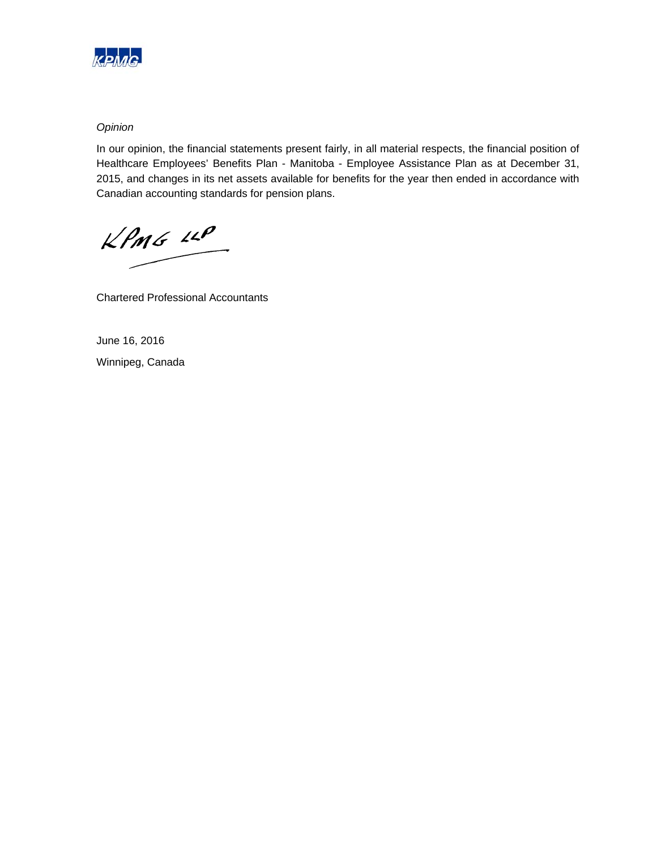

### *Opinion*

In our opinion, the financial statements present fairly, in all material respects, the financial position of Healthcare Employees' Benefits Plan - Manitoba - Employee Assistance Plan as at December 31, 2015, and changes in its net assets available for benefits for the year then ended in accordance with Canadian accounting standards for pension plans.

KPMG LLP

Chartered Professional Accountants

June 16, 2016 Winnipeg, Canada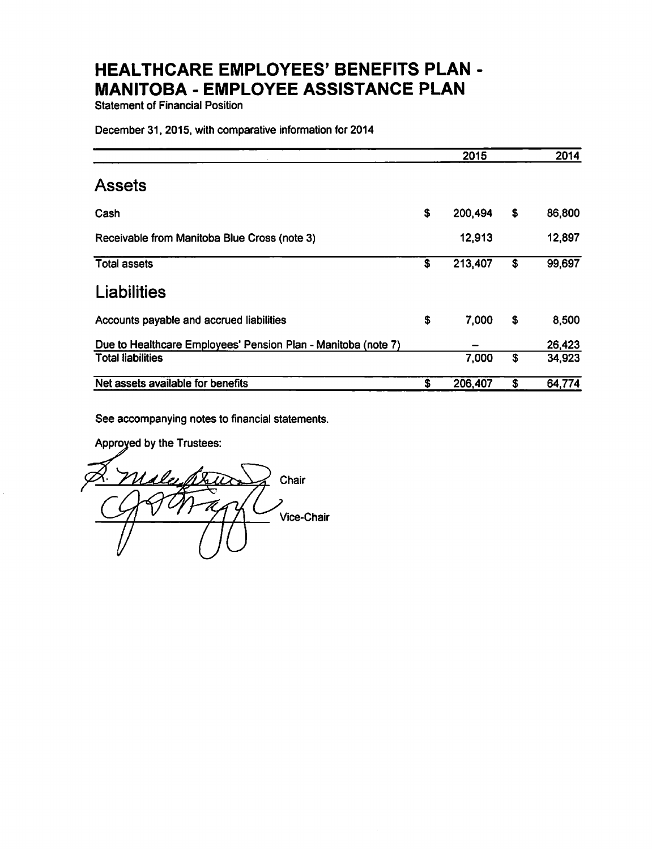**Statement of Financial Position** 

December 31, 2015, with comparative information for 2014

|                                                               |    | 2015    | 2014         |
|---------------------------------------------------------------|----|---------|--------------|
| <b>Assets</b>                                                 |    |         |              |
| Cash                                                          | \$ | 200,494 | \$<br>86,800 |
| Receivable from Manitoba Blue Cross (note 3)                  |    | 12,913  | 12,897       |
| <b>Total assets</b>                                           | \$ | 213,407 | \$<br>99,697 |
| <b>Liabilities</b>                                            |    |         |              |
| Accounts payable and accrued liabilities                      | \$ | 7,000   | \$<br>8,500  |
| Due to Healthcare Employees' Pension Plan - Manitoba (note 7) |    |         | 26,423       |
| <b>Total liabilities</b>                                      |    | 7,000   | \$<br>34,923 |
| Net assets available for benefits                             | S  | 206,407 | \$<br>64,774 |

See accompanying notes to financial statements.

Approyed by the Trustees:

Chair Vice-Chair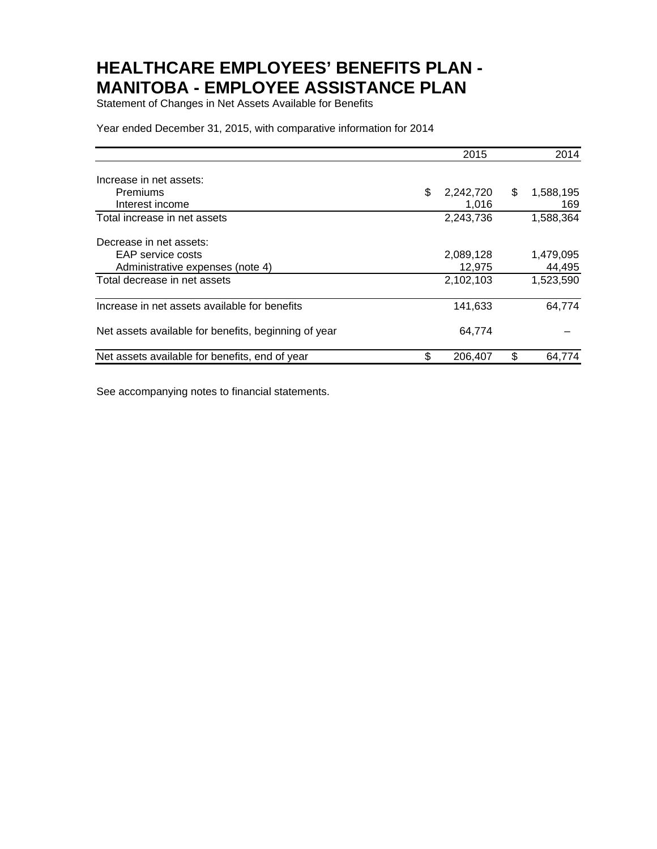Statement of Changes in Net Assets Available for Benefits

Year ended December 31, 2015, with comparative information for 2014

|                                                      | 2015            | 2014            |
|------------------------------------------------------|-----------------|-----------------|
| Increase in net assets:                              |                 |                 |
| Premiums                                             | \$<br>2,242,720 | \$<br>1,588,195 |
| Interest income                                      | 1,016           | 169             |
| Total increase in net assets                         | 2,243,736       | 1,588,364       |
| Decrease in net assets:                              |                 |                 |
| EAP service costs                                    | 2,089,128       | 1,479,095       |
| Administrative expenses (note 4)                     | 12,975          | 44,495          |
| Total decrease in net assets                         | 2,102,103       | 1,523,590       |
| Increase in net assets available for benefits        | 141,633         | 64,774          |
| Net assets available for benefits, beginning of year | 64,774          |                 |
| Net assets available for benefits, end of year       | 206,407         | \$<br>64.774    |

See accompanying notes to financial statements.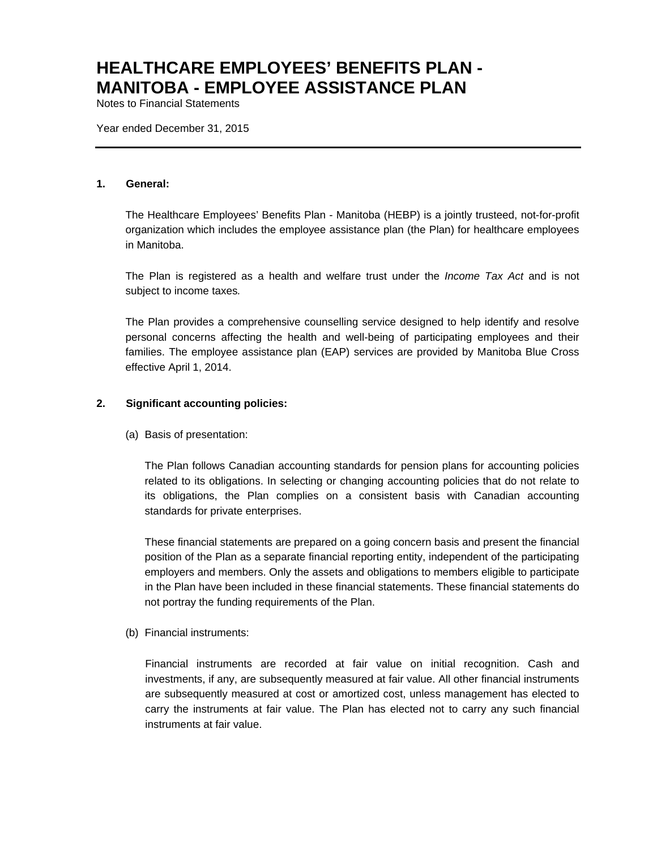Notes to Financial Statements

Year ended December 31, 2015

### **1. General:**

The Healthcare Employees' Benefits Plan - Manitoba (HEBP) is a jointly trusteed, not-for-profit organization which includes the employee assistance plan (the Plan) for healthcare employees in Manitoba.

The Plan is registered as a health and welfare trust under the *Income Tax Act* and is not subject to income taxes*.*

The Plan provides a comprehensive counselling service designed to help identify and resolve personal concerns affecting the health and well-being of participating employees and their families. The employee assistance plan (EAP) services are provided by Manitoba Blue Cross effective April 1, 2014.

### **2. Significant accounting policies:**

(a) Basis of presentation:

The Plan follows Canadian accounting standards for pension plans for accounting policies related to its obligations. In selecting or changing accounting policies that do not relate to its obligations, the Plan complies on a consistent basis with Canadian accounting standards for private enterprises.

These financial statements are prepared on a going concern basis and present the financial position of the Plan as a separate financial reporting entity, independent of the participating employers and members. Only the assets and obligations to members eligible to participate in the Plan have been included in these financial statements. These financial statements do not portray the funding requirements of the Plan.

(b) Financial instruments:

Financial instruments are recorded at fair value on initial recognition. Cash and investments, if any, are subsequently measured at fair value. All other financial instruments are subsequently measured at cost or amortized cost, unless management has elected to carry the instruments at fair value. The Plan has elected not to carry any such financial instruments at fair value.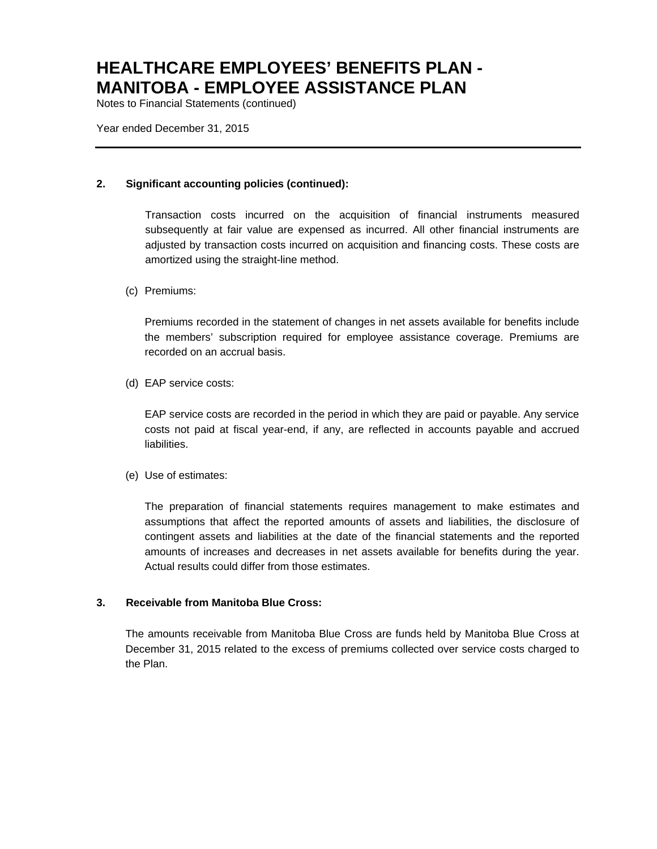Notes to Financial Statements (continued)

Year ended December 31, 2015

### **2. Significant accounting policies (continued):**

Transaction costs incurred on the acquisition of financial instruments measured subsequently at fair value are expensed as incurred. All other financial instruments are adjusted by transaction costs incurred on acquisition and financing costs. These costs are amortized using the straight-line method.

### (c) Premiums:

Premiums recorded in the statement of changes in net assets available for benefits include the members' subscription required for employee assistance coverage. Premiums are recorded on an accrual basis.

(d) EAP service costs:

EAP service costs are recorded in the period in which they are paid or payable. Any service costs not paid at fiscal year-end, if any, are reflected in accounts payable and accrued liabilities.

(e) Use of estimates:

The preparation of financial statements requires management to make estimates and assumptions that affect the reported amounts of assets and liabilities, the disclosure of contingent assets and liabilities at the date of the financial statements and the reported amounts of increases and decreases in net assets available for benefits during the year. Actual results could differ from those estimates.

### **3. Receivable from Manitoba Blue Cross:**

The amounts receivable from Manitoba Blue Cross are funds held by Manitoba Blue Cross at December 31, 2015 related to the excess of premiums collected over service costs charged to the Plan.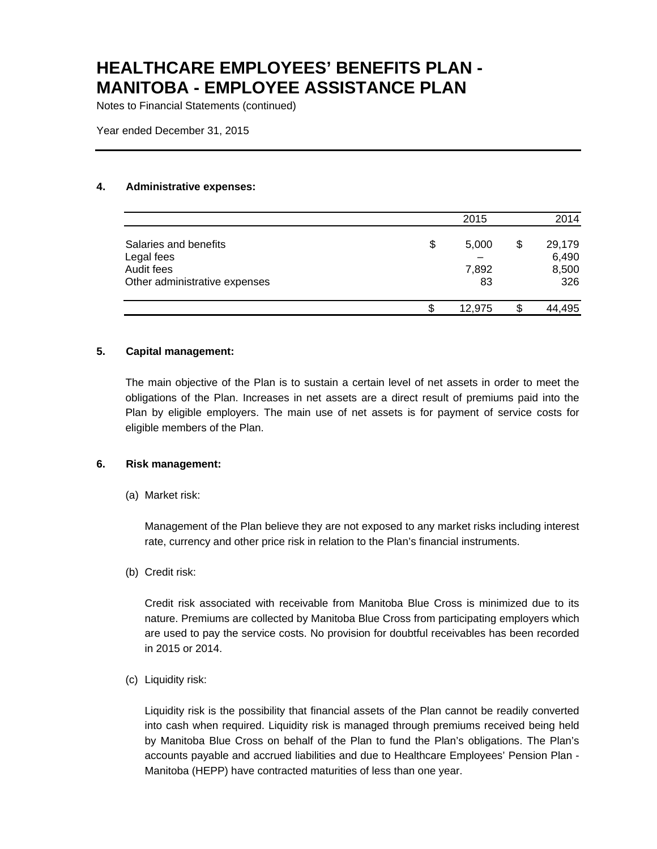Notes to Financial Statements (continued)

Year ended December 31, 2015

### **4. Administrative expenses:**

|                               | 2015         |    | 2014   |
|-------------------------------|--------------|----|--------|
| Salaries and benefits         | \$<br>5,000  | \$ | 29,179 |
| Legal fees                    |              |    | 6,490  |
| Audit fees                    | 7,892        |    | 8,500  |
| Other administrative expenses | 83           |    | 326    |
|                               | \$<br>12.975 | S  | 44,495 |

### **5. Capital management:**

The main objective of the Plan is to sustain a certain level of net assets in order to meet the obligations of the Plan. Increases in net assets are a direct result of premiums paid into the Plan by eligible employers. The main use of net assets is for payment of service costs for eligible members of the Plan.

#### **6. Risk management:**

(a) Market risk:

Management of the Plan believe they are not exposed to any market risks including interest rate, currency and other price risk in relation to the Plan's financial instruments.

(b) Credit risk:

Credit risk associated with receivable from Manitoba Blue Cross is minimized due to its nature. Premiums are collected by Manitoba Blue Cross from participating employers which are used to pay the service costs. No provision for doubtful receivables has been recorded in 2015 or 2014.

(c) Liquidity risk:

Liquidity risk is the possibility that financial assets of the Plan cannot be readily converted into cash when required. Liquidity risk is managed through premiums received being held by Manitoba Blue Cross on behalf of the Plan to fund the Plan's obligations. The Plan's accounts payable and accrued liabilities and due to Healthcare Employees' Pension Plan - Manitoba (HEPP) have contracted maturities of less than one year.